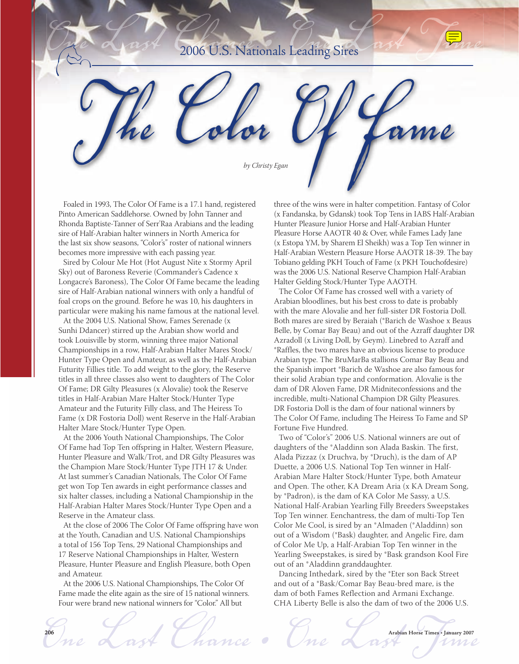## 2006 U.S. Nationals Leading Sires



Foaled in 1993, The Color Of Fame is a 17.1 hand, registered Pinto American Saddlehorse. Owned by John Tanner and Rhonda Baptiste-Tanner of Serr'Raa Arabians and the leading sire of Half-Arabian halter winners in North America for the last six show seasons, "Color's" roster of national winners becomes more impressive with each passing year.

Sired by Colour Me Hot (Hot August Nite x Stormy April Sky) out of Baroness Reverie (Commander's Cadence x Longacre's Baroness), The Color Of Fame became the leading sire of Half-Arabian national winners with only a handful of foal crops on the ground. Before he was 10, his daughters in particular were making his name famous at the national level.

At the 2004 U.S. National Show, Fames Serenade (x Sunhi Ddancer) stirred up the Arabian show world and took Louisville by storm, winning three major National Championships in a row, Half-Arabian Halter Mares Stock/ Hunter Type Open and Amateur, as well as the Half-Arabian Futurity Fillies title. To add weight to the glory, the Reserve titles in all three classes also went to daughters of The Color Of Fame; DR Gilty Pleasures (x Alovalie) took the Reserve titles in Half-Arabian Mare Halter Stock/Hunter Type Amateur and the Futurity Filly class, and The Heiress To Fame (x DR Fostoria Doll) went Reserve in the Half-Arabian Halter Mare Stock/Hunter Type Open.

At the 2006 Youth National Championships, The Color Of Fame had Top Ten offspring in Halter, Western Pleasure, Hunter Pleasure and Walk/Trot, and DR Gilty Pleasures was the Champion Mare Stock/Hunter Type JTH 17 & Under. At last summer's Canadian Nationals, The Color Of Fame get won Top Ten awards in eight performance classes and six halter classes, including a National Championship in the Half-Arabian Halter Mares Stock/Hunter Type Open and a Reserve in the Amateur class.

At the close of 2006 The Color Of Fame offspring have won at the Youth, Canadian and U.S. National Championships a total of 156 Top Tens, 29 National Championships and 17 Reserve National Championships in Halter, Western Pleasure, Hunter Pleasure and English Pleasure, both Open and Amateur.

At the 2006 U.S. National Championships, The Color Of Fame made the elite again as the sire of 15 national winners. Four were brand new national winners for "Color." All but

three of the wins were in halter competition. Fantasy of Color (x Fandanska, by Gdansk) took Top Tens in IABS Half-Arabian Hunter Pleasure Junior Horse and Half-Arabian Hunter Pleasure Horse AAOTR 40 & Over, while Fames Lady Jane (x Estopa YM, by Sharem El Sheikh) was a Top Ten winner in Half-Arabian Western Pleasure Horse AAOTR 18-39. The bay Tobiano gelding PKH Touch of Fame (x PKH Touchofdesire) was the 2006 U.S. National Reserve Champion Half-Arabian Halter Gelding Stock/Hunter Type AAOTH.

The Color Of Fame has crossed well with a variety of Arabian bloodlines, but his best cross to date is probably with the mare Alovalie and her full-sister DR Fostoria Doll. Both mares are sired by Beraiah (\*Barich de Washoe x Beaus Belle, by Comar Bay Beau) and out of the Azraff daughter DR Azradoll (x Living Doll, by Geym). Linebred to Azraff and \*Raffles, the two mares have an obvious license to produce Arabian type. The BruMarBa stallions Comar Bay Beau and the Spanish import \*Barich de Washoe are also famous for their solid Arabian type and conformation. Alovalie is the dam of DR Aloven Fame, DR Midniteconfessions and the incredible, multi-National Champion DR Gilty Pleasures. DR Fostoria Doll is the dam of four national winners by The Color Of Fame, including The Heiress To Fame and SP Fortune Five Hundred.

Two of "Color's" 2006 U.S. National winners are out of daughters of the \*Aladdinn son Alada Baskin. The first, Alada Pizzaz (x Druchva, by \*Druch), is the dam of AP Duette, a 2006 U.S. National Top Ten winner in Half-Arabian Mare Halter Stock/Hunter Type, both Amateur and Open. The other, KA Dream Aria (x KA Dream Song, by \*Padron), is the dam of KA Color Me Sassy, a U.S. National Half-Arabian Yearling Filly Breeders Sweepstakes Top Ten winner. Eenchantress, the dam of multi-Top Ten Color Me Cool, is sired by an \*Almaden (\*Aladdinn) son out of a Wisdom (\*Bask) daughter, and Angelic Fire, dam of Color Me Up, a Half-Arabian Top Ten winner in the Yearling Sweepstakes, is sired by \*Bask grandson Kool Fire out of an \*Aladdinn granddaughter.

Dancing Inthedark, sired by the \*Eter son Back Street and out of a \*Bask/Comar Bay Beau-bred mare, is the dam of both Fames Reflection and Armani Exchange. CHA Liberty Belle is also the dam of two of the 2006 U.S.